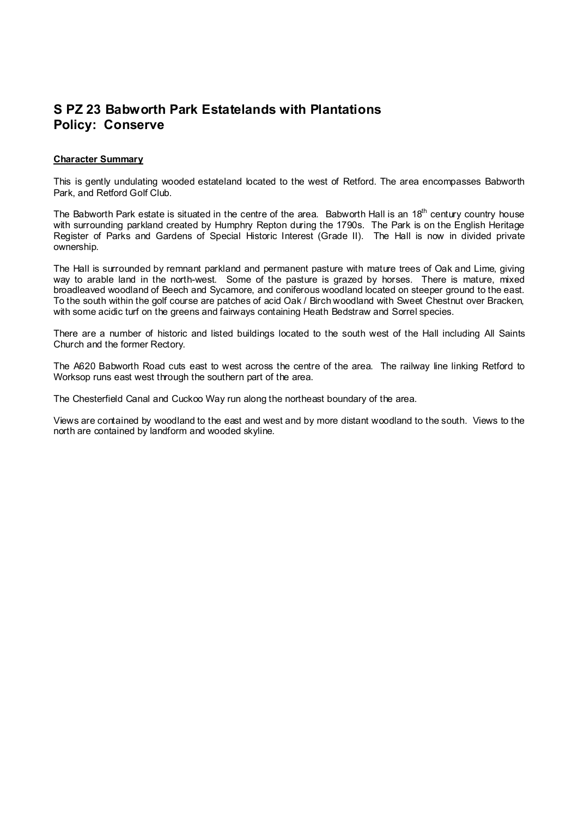## **S PZ 23 Babworth Park Estatelands with Plantations Policy: Conserve**

## **Character Summary**

This is gently undulating wooded estateland located to the west of Retford. The area encompasses Babworth Park, and Retford Golf Club.

The Babworth Park estate is situated in the centre of the area. Babworth Hall is an 18<sup>th</sup> century country house with surrounding parkland created by Humphry Repton during the 1790s. The Park is on the English Heritage Register of Parks and Gardens of Special Historic Interest (Grade II). The Hall is now in divided private ownership.

The Hall is surrounded by remnant parkland and permanent pasture with mature trees of Oak and Lime, giving way to arable land in the north-west. Some of the pasture is grazed by horses. There is mature, mixed broadleaved woodland of Beech and Sycamore, and coniferous woodland located on steeper ground to the east. To the south within the golf course are patches of acid Oak / Birch woodland with Sweet Chestnut over Bracken, with some acidic turf on the greens and fairways containing Heath Bedstraw and Sorrel species.

There are a number of historic and listed buildings located to the south west of the Hall including All Saints Church and the former Rectory.

The A620 Babworth Road cuts east to west across the centre of the area. The railway line linking Retford to Worksop runs east west through the southern part of the area.

The Chesterfield Canal and Cuckoo Way run along the northeast boundary of the area.

Views are contained by woodland to the east and west and by more distant woodland to the south. Views to the north are contained by landform and wooded skyline.